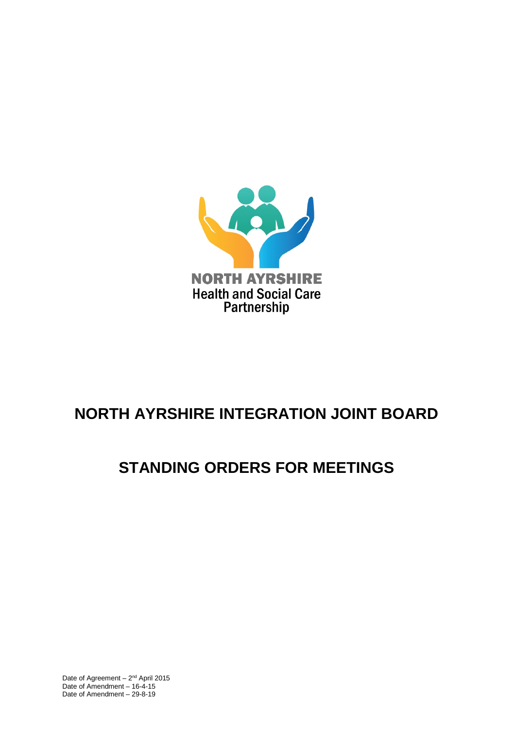

# **NORTH AYRSHIRE INTEGRATION JOINT BOARD**

# **STANDING ORDERS FOR MEETINGS**

Date of Agreement  $-2^{nd}$  April 2015 Date of Amendment – 16-4-15 Date of Amendment – 29-8-19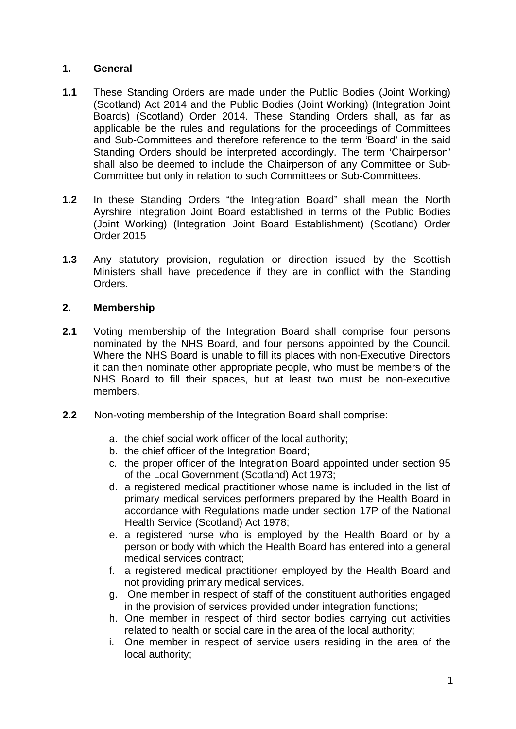## **1. General**

- **1.1** These Standing Orders are made under the Public Bodies (Joint Working) (Scotland) Act 2014 and the Public Bodies (Joint Working) (Integration Joint Boards) (Scotland) Order 2014. These Standing Orders shall, as far as applicable be the rules and regulations for the proceedings of Committees and Sub-Committees and therefore reference to the term 'Board' in the said Standing Orders should be interpreted accordingly. The term 'Chairperson' shall also be deemed to include the Chairperson of any Committee or Sub-Committee but only in relation to such Committees or Sub-Committees.
- **1.2** In these Standing Orders "the Integration Board" shall mean the North Ayrshire Integration Joint Board established in terms of the Public Bodies (Joint Working) (Integration Joint Board Establishment) (Scotland) Order Order 2015
- **1.3** Any statutory provision, regulation or direction issued by the Scottish Ministers shall have precedence if they are in conflict with the Standing Orders.

## **2. Membership**

- **2.1** Voting membership of the Integration Board shall comprise four persons nominated by the NHS Board, and four persons appointed by the Council. Where the NHS Board is unable to fill its places with non-Executive Directors it can then nominate other appropriate people, who must be members of the NHS Board to fill their spaces, but at least two must be non-executive members.
- **2.2** Non-voting membership of the Integration Board shall comprise:
	- a. the chief social work officer of the local authority;
	- b. the chief officer of the Integration Board;
	- c. the proper officer of the Integration Board appointed under section 95 of the Local Government (Scotland) Act 1973;
	- d. a registered medical practitioner whose name is included in the list of primary medical services performers prepared by the Health Board in accordance with Regulations made under section 17P of the National Health Service (Scotland) Act 1978;
	- e. a registered nurse who is employed by the Health Board or by a person or body with which the Health Board has entered into a general medical services contract;
	- f. a registered medical practitioner employed by the Health Board and not providing primary medical services.
	- g. One member in respect of staff of the constituent authorities engaged in the provision of services provided under integration functions;
	- h. One member in respect of third sector bodies carrying out activities related to health or social care in the area of the local authority;
	- i. One member in respect of service users residing in the area of the local authority;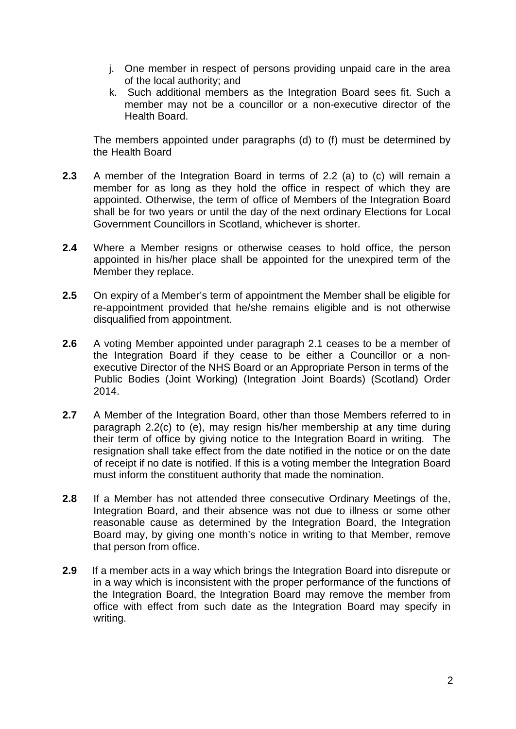- j. One member in respect of persons providing unpaid care in the area of the local authority; and
- k. Such additional members as the Integration Board sees fit. Such a member may not be a councillor or a non-executive director of the Health Board.

 The members appointed under paragraphs (d) to (f) must be determined by the Health Board

- **2.3** A member of the Integration Board in terms of 2.2 (a) to (c) will remain a member for as long as they hold the office in respect of which they are appointed. Otherwise, the term of office of Members of the Integration Board shall be for two years or until the day of the next ordinary Elections for Local Government Councillors in Scotland, whichever is shorter.
- **2.4** Where a Member resigns or otherwise ceases to hold office, the person appointed in his/her place shall be appointed for the unexpired term of the Member they replace.
- **2.5** On expiry of a Member's term of appointment the Member shall be eligible for re-appointment provided that he/she remains eligible and is not otherwise disqualified from appointment.
- **2.6** A voting Member appointed under paragraph 2.1 ceases to be a member of the Integration Board if they cease to be either a Councillor or a nonexecutive Director of the NHS Board or an Appropriate Person in terms of the Public Bodies (Joint Working) (Integration Joint Boards) (Scotland) Order 2014.
- **2.7** A Member of the Integration Board, other than those Members referred to in paragraph 2.2(c) to (e), may resign his/her membership at any time during their term of office by giving notice to the Integration Board in writing. The resignation shall take effect from the date notified in the notice or on the date of receipt if no date is notified. If this is a voting member the Integration Board must inform the constituent authority that made the nomination.
- **2.8** If a Member has not attended three consecutive Ordinary Meetings of the, Integration Board, and their absence was not due to illness or some other reasonable cause as determined by the Integration Board, the Integration Board may, by giving one month's notice in writing to that Member, remove that person from office.
- **2.9** If a member acts in a way which brings the Integration Board into disrepute or in a way which is inconsistent with the proper performance of the functions of the Integration Board, the Integration Board may remove the member from office with effect from such date as the Integration Board may specify in writing.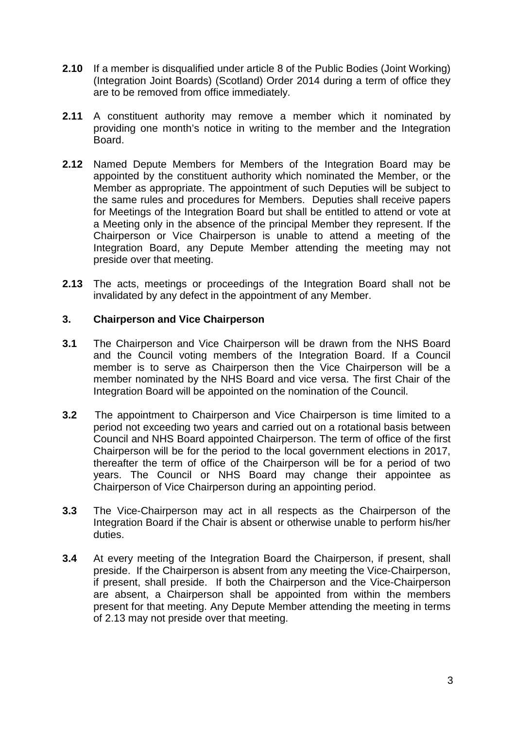- **2.10** If a member is disqualified under article 8 of the Public Bodies (Joint Working) (Integration Joint Boards) (Scotland) Order 2014 during a term of office they are to be removed from office immediately.
- **2.11** A constituent authority may remove a member which it nominated by providing one month's notice in writing to the member and the Integration Board.
- **2.12** Named Depute Members for Members of the Integration Board may be appointed by the constituent authority which nominated the Member, or the Member as appropriate. The appointment of such Deputies will be subject to the same rules and procedures for Members. Deputies shall receive papers for Meetings of the Integration Board but shall be entitled to attend or vote at a Meeting only in the absence of the principal Member they represent. If the Chairperson or Vice Chairperson is unable to attend a meeting of the Integration Board, any Depute Member attending the meeting may not preside over that meeting.
- **2.13** The acts, meetings or proceedings of the Integration Board shall not be invalidated by any defect in the appointment of any Member.

### **3. Chairperson and Vice Chairperson**

- **3.1** The Chairperson and Vice Chairperson will be drawn from the NHS Board and the Council voting members of the Integration Board. If a Council member is to serve as Chairperson then the Vice Chairperson will be a member nominated by the NHS Board and vice versa. The first Chair of the Integration Board will be appointed on the nomination of the Council.
- **3.2** The appointment to Chairperson and Vice Chairperson is time limited to a period not exceeding two years and carried out on a rotational basis between Council and NHS Board appointed Chairperson. The term of office of the first Chairperson will be for the period to the local government elections in 2017, thereafter the term of office of the Chairperson will be for a period of two years. The Council or NHS Board may change their appointee as Chairperson of Vice Chairperson during an appointing period.
- **3.3** The Vice-Chairperson may act in all respects as the Chairperson of the Integration Board if the Chair is absent or otherwise unable to perform his/her duties.
- **3.4** At every meeting of the Integration Board the Chairperson, if present, shall preside. If the Chairperson is absent from any meeting the Vice-Chairperson, if present, shall preside. If both the Chairperson and the Vice-Chairperson are absent, a Chairperson shall be appointed from within the members present for that meeting. Any Depute Member attending the meeting in terms of 2.13 may not preside over that meeting.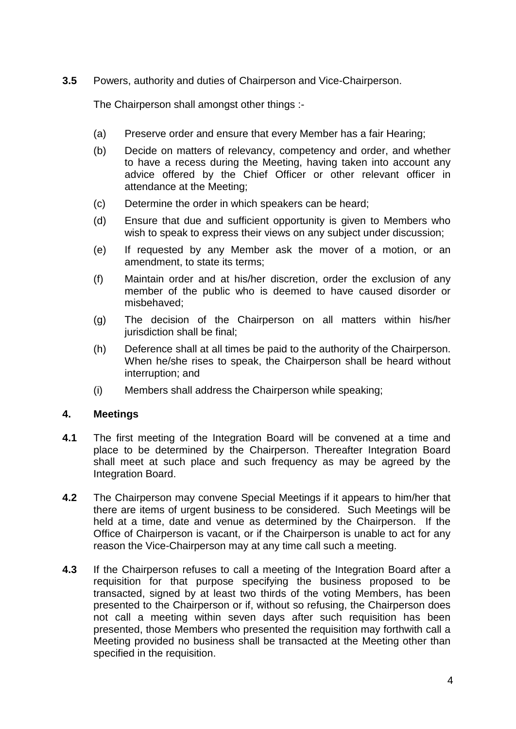**3.5** Powers, authority and duties of Chairperson and Vice-Chairperson.

The Chairperson shall amongst other things :-

- (a) Preserve order and ensure that every Member has a fair Hearing;
- (b) Decide on matters of relevancy, competency and order, and whether to have a recess during the Meeting, having taken into account any advice offered by the Chief Officer or other relevant officer in attendance at the Meeting;
- (c) Determine the order in which speakers can be heard;
- (d) Ensure that due and sufficient opportunity is given to Members who wish to speak to express their views on any subject under discussion;
- (e) If requested by any Member ask the mover of a motion, or an amendment, to state its terms;
- (f) Maintain order and at his/her discretion, order the exclusion of any member of the public who is deemed to have caused disorder or misbehaved;
- (g) The decision of the Chairperson on all matters within his/her jurisdiction shall be final;
- (h) Deference shall at all times be paid to the authority of the Chairperson. When he/she rises to speak, the Chairperson shall be heard without interruption; and
- (i) Members shall address the Chairperson while speaking;

### **4. Meetings**

- **4.1** The first meeting of the Integration Board will be convened at a time and place to be determined by the Chairperson. Thereafter Integration Board shall meet at such place and such frequency as may be agreed by the Integration Board.
- **4.2** The Chairperson may convene Special Meetings if it appears to him/her that there are items of urgent business to be considered. Such Meetings will be held at a time, date and venue as determined by the Chairperson. If the Office of Chairperson is vacant, or if the Chairperson is unable to act for any reason the Vice-Chairperson may at any time call such a meeting.
- **4.3** If the Chairperson refuses to call a meeting of the Integration Board after a requisition for that purpose specifying the business proposed to be transacted, signed by at least two thirds of the voting Members, has been presented to the Chairperson or if, without so refusing, the Chairperson does not call a meeting within seven days after such requisition has been presented, those Members who presented the requisition may forthwith call a Meeting provided no business shall be transacted at the Meeting other than specified in the requisition.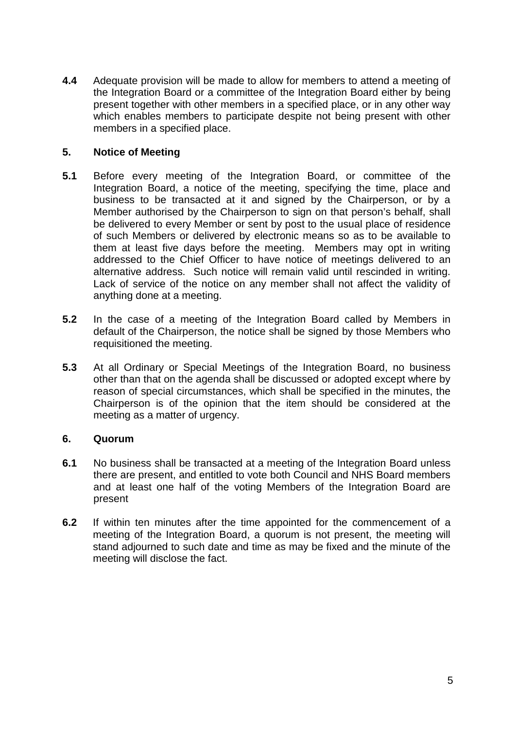**4.4** Adequate provision will be made to allow for members to attend a meeting of the Integration Board or a committee of the Integration Board either by being present together with other members in a specified place, or in any other way which enables members to participate despite not being present with other members in a specified place.

## **5. Notice of Meeting**

- **5.1** Before every meeting of the Integration Board, or committee of the Integration Board, a notice of the meeting, specifying the time, place and business to be transacted at it and signed by the Chairperson, or by a Member authorised by the Chairperson to sign on that person's behalf, shall be delivered to every Member or sent by post to the usual place of residence of such Members or delivered by electronic means so as to be available to them at least five days before the meeting. Members may opt in writing addressed to the Chief Officer to have notice of meetings delivered to an alternative address. Such notice will remain valid until rescinded in writing. Lack of service of the notice on any member shall not affect the validity of anything done at a meeting.
- **5.2** In the case of a meeting of the Integration Board called by Members in default of the Chairperson, the notice shall be signed by those Members who requisitioned the meeting.
- **5.3** At all Ordinary or Special Meetings of the Integration Board, no business other than that on the agenda shall be discussed or adopted except where by reason of special circumstances, which shall be specified in the minutes, the Chairperson is of the opinion that the item should be considered at the meeting as a matter of urgency.

### **6. Quorum**

- **6.1** No business shall be transacted at a meeting of the Integration Board unless there are present, and entitled to vote both Council and NHS Board members and at least one half of the voting Members of the Integration Board are present
- **6.2** If within ten minutes after the time appointed for the commencement of a meeting of the Integration Board, a quorum is not present, the meeting will stand adjourned to such date and time as may be fixed and the minute of the meeting will disclose the fact.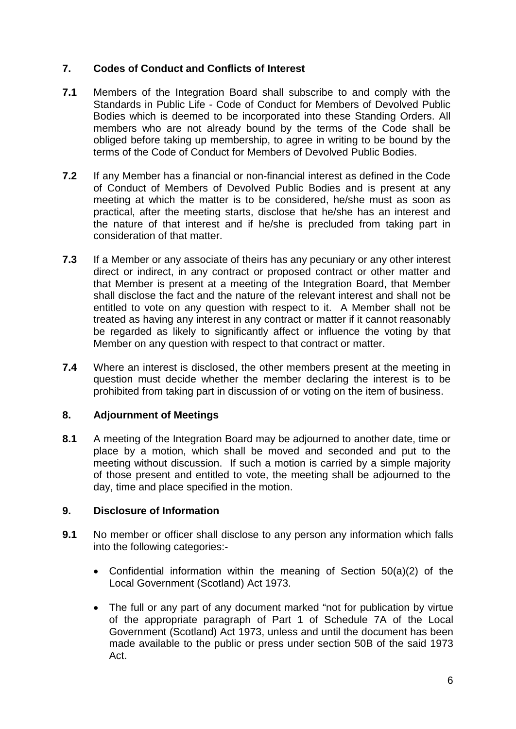# **7. Codes of Conduct and Conflicts of Interest**

- **7.1** Members of the Integration Board shall subscribe to and comply with the Standards in Public Life - Code of Conduct for Members of Devolved Public Bodies which is deemed to be incorporated into these Standing Orders. All members who are not already bound by the terms of the Code shall be obliged before taking up membership, to agree in writing to be bound by the terms of the Code of Conduct for Members of Devolved Public Bodies.
- **7.2** If any Member has a financial or non-financial interest as defined in the Code of Conduct of Members of Devolved Public Bodies and is present at any meeting at which the matter is to be considered, he/she must as soon as practical, after the meeting starts, disclose that he/she has an interest and the nature of that interest and if he/she is precluded from taking part in consideration of that matter.
- **7.3** If a Member or any associate of theirs has any pecuniary or any other interest direct or indirect, in any contract or proposed contract or other matter and that Member is present at a meeting of the Integration Board, that Member shall disclose the fact and the nature of the relevant interest and shall not be entitled to vote on any question with respect to it. A Member shall not be treated as having any interest in any contract or matter if it cannot reasonably be regarded as likely to significantly affect or influence the voting by that Member on any question with respect to that contract or matter.
- **7.4** Where an interest is disclosed, the other members present at the meeting in question must decide whether the member declaring the interest is to be prohibited from taking part in discussion of or voting on the item of business.

# **8. Adjournment of Meetings**

**8.1** A meeting of the Integration Board may be adjourned to another date, time or place by a motion, which shall be moved and seconded and put to the meeting without discussion. If such a motion is carried by a simple majority of those present and entitled to vote, the meeting shall be adjourned to the day, time and place specified in the motion.

## **9. Disclosure of Information**

- **9.1** No member or officer shall disclose to any person any information which falls into the following categories:-
	- Confidential information within the meaning of Section 50(a)(2) of the Local Government (Scotland) Act 1973.
	- The full or any part of any document marked "not for publication by virtue of the appropriate paragraph of Part 1 of Schedule 7A of the Local Government (Scotland) Act 1973, unless and until the document has been made available to the public or press under section 50B of the said 1973 Act.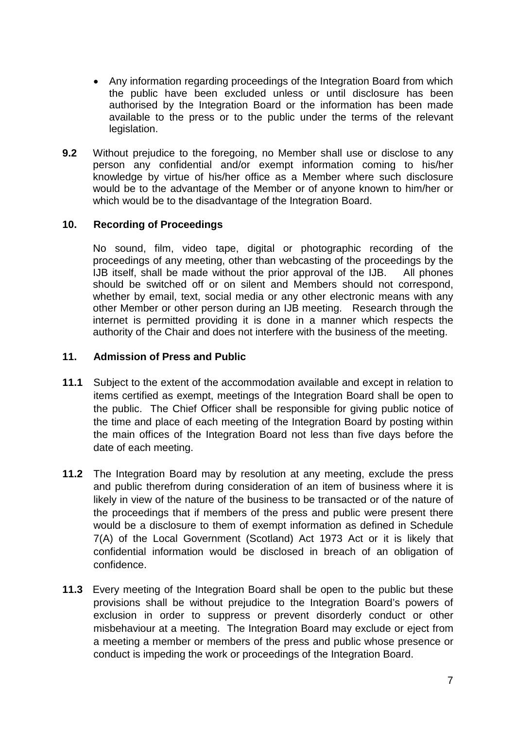- Any information regarding proceedings of the Integration Board from which the public have been excluded unless or until disclosure has been authorised by the Integration Board or the information has been made available to the press or to the public under the terms of the relevant legislation.
- **9.2** Without prejudice to the foregoing, no Member shall use or disclose to any person any confidential and/or exempt information coming to his/her knowledge by virtue of his/her office as a Member where such disclosure would be to the advantage of the Member or of anyone known to him/her or which would be to the disadvantage of the Integration Board.

## **10. Recording of Proceedings**

No sound, film, video tape, digital or photographic recording of the proceedings of any meeting, other than webcasting of the proceedings by the IJB itself, shall be made without the prior approval of the IJB. All phones should be switched off or on silent and Members should not correspond, whether by email, text, social media or any other electronic means with any other Member or other person during an IJB meeting. Research through the internet is permitted providing it is done in a manner which respects the authority of the Chair and does not interfere with the business of the meeting.

## **11. Admission of Press and Public**

- **11.1** Subject to the extent of the accommodation available and except in relation to items certified as exempt, meetings of the Integration Board shall be open to the public. The Chief Officer shall be responsible for giving public notice of the time and place of each meeting of the Integration Board by posting within the main offices of the Integration Board not less than five days before the date of each meeting.
- **11.2** The Integration Board may by resolution at any meeting, exclude the press and public therefrom during consideration of an item of business where it is likely in view of the nature of the business to be transacted or of the nature of the proceedings that if members of the press and public were present there would be a disclosure to them of exempt information as defined in Schedule 7(A) of the Local Government (Scotland) Act 1973 Act or it is likely that confidential information would be disclosed in breach of an obligation of confidence.
- **11.3** Every meeting of the Integration Board shall be open to the public but these provisions shall be without prejudice to the Integration Board's powers of exclusion in order to suppress or prevent disorderly conduct or other misbehaviour at a meeting. The Integration Board may exclude or eject from a meeting a member or members of the press and public whose presence or conduct is impeding the work or proceedings of the Integration Board.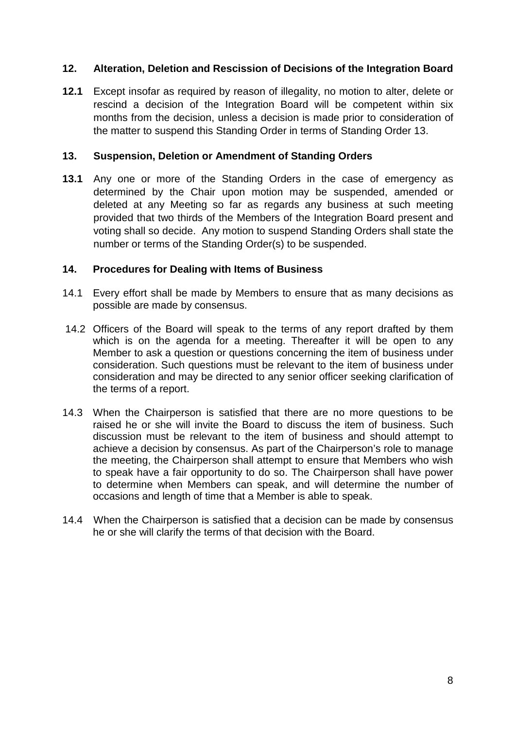## **12. Alteration, Deletion and Rescission of Decisions of the Integration Board**

**12.1** Except insofar as required by reason of illegality, no motion to alter, delete or rescind a decision of the Integration Board will be competent within six months from the decision, unless a decision is made prior to consideration of the matter to suspend this Standing Order in terms of Standing Order 13.

#### **13. Suspension, Deletion or Amendment of Standing Orders**

**13.1** Any one or more of the Standing Orders in the case of emergency as determined by the Chair upon motion may be suspended, amended or deleted at any Meeting so far as regards any business at such meeting provided that two thirds of the Members of the Integration Board present and voting shall so decide. Any motion to suspend Standing Orders shall state the number or terms of the Standing Order(s) to be suspended.

#### **14. Procedures for Dealing with Items of Business**

- 14.1 Every effort shall be made by Members to ensure that as many decisions as possible are made by consensus.
- 14.2 Officers of the Board will speak to the terms of any report drafted by them which is on the agenda for a meeting. Thereafter it will be open to any Member to ask a question or questions concerning the item of business under consideration. Such questions must be relevant to the item of business under consideration and may be directed to any senior officer seeking clarification of the terms of a report.
- 14.3 When the Chairperson is satisfied that there are no more questions to be raised he or she will invite the Board to discuss the item of business. Such discussion must be relevant to the item of business and should attempt to achieve a decision by consensus. As part of the Chairperson's role to manage the meeting, the Chairperson shall attempt to ensure that Members who wish to speak have a fair opportunity to do so. The Chairperson shall have power to determine when Members can speak, and will determine the number of occasions and length of time that a Member is able to speak.
- 14.4 When the Chairperson is satisfied that a decision can be made by consensus he or she will clarify the terms of that decision with the Board.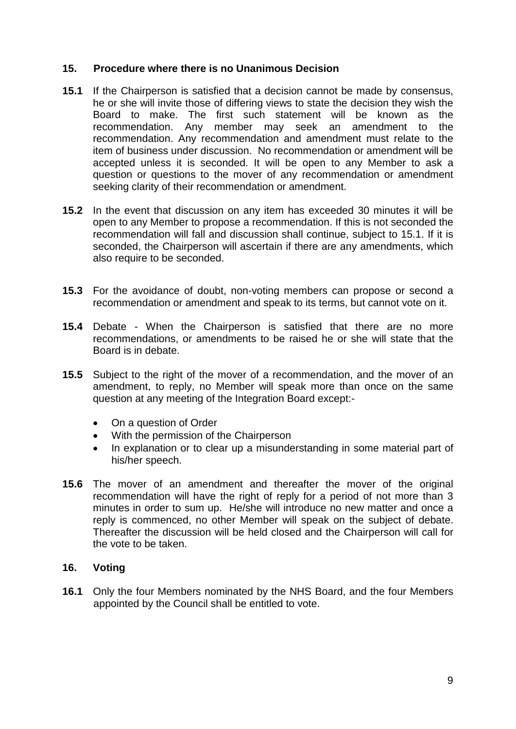## **15. Procedure where there is no Unanimous Decision**

- **15.1** If the Chairperson is satisfied that a decision cannot be made by consensus, he or she will invite those of differing views to state the decision they wish the Board to make. The first such statement will be known as the recommendation. Any member may seek an amendment to the recommendation. Any recommendation and amendment must relate to the item of business under discussion. No recommendation or amendment will be accepted unless it is seconded. It will be open to any Member to ask a question or questions to the mover of any recommendation or amendment seeking clarity of their recommendation or amendment.
- **15.2** In the event that discussion on any item has exceeded 30 minutes it will be open to any Member to propose a recommendation. If this is not seconded the recommendation will fall and discussion shall continue, subject to 15.1. If it is seconded, the Chairperson will ascertain if there are any amendments, which also require to be seconded.
- **15.3** For the avoidance of doubt, non-voting members can propose or second a recommendation or amendment and speak to its terms, but cannot vote on it.
- **15.4** Debate When the Chairperson is satisfied that there are no more recommendations, or amendments to be raised he or she will state that the Board is in debate.
- **15.5** Subject to the right of the mover of a recommendation, and the mover of an amendment, to reply, no Member will speak more than once on the same question at any meeting of the Integration Board except:-
	- On a question of Order
	- With the permission of the Chairperson
	- In explanation or to clear up a misunderstanding in some material part of his/her speech.
- **15.6** The mover of an amendment and thereafter the mover of the original recommendation will have the right of reply for a period of not more than 3 minutes in order to sum up. He/she will introduce no new matter and once a reply is commenced, no other Member will speak on the subject of debate. Thereafter the discussion will be held closed and the Chairperson will call for the vote to be taken.

# **16. Voting**

**16.1** Only the four Members nominated by the NHS Board, and the four Members appointed by the Council shall be entitled to vote.